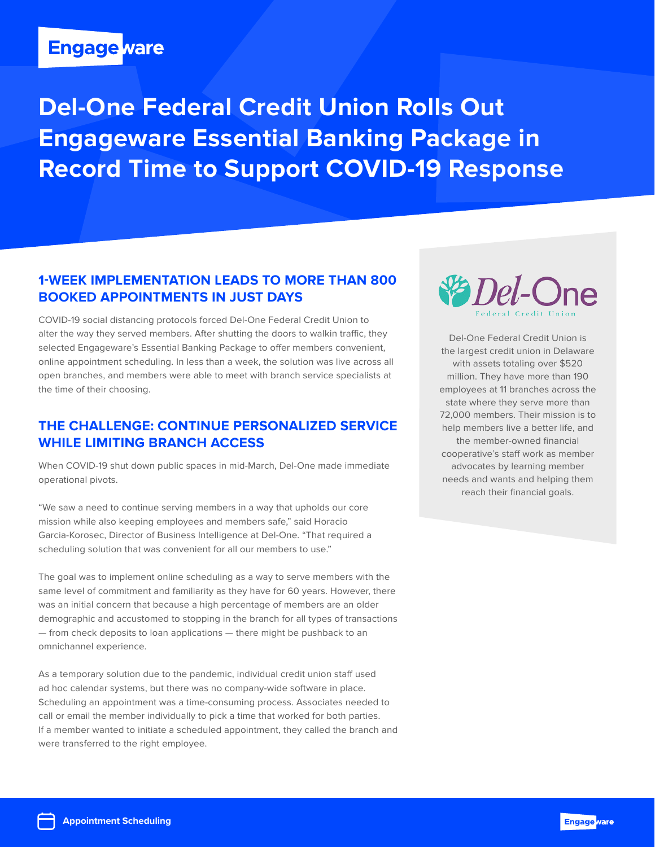# **Engage ware**

**Del-One Federal Credit Union Rolls Out Engageware Essential Banking Package in Record Time to Support COVID-19 Response**

## **1-week Implementation Leads to More than 800 Booked Appointments in Just DaYS**

COVID-19 social distancing protocols forced Del-One Federal Credit Union to alter the way they served members. After shutting the doors to walkin traffic, they selected Engageware's Essential Banking Package to offer members convenient, online appointment scheduling. In less than a week, the solution was live across all open branches, and members were able to meet with branch service specialists at the time of their choosing.

## **The Challenge: Continue Personalized Service While Limiting Branch Access**

When COVID-19 shut down public spaces in mid-March, Del-One made immediate operational pivots.

"We saw a need to continue serving members in a way that upholds our core mission while also keeping employees and members safe," said Horacio Garcia-Korosec, Director of Business Intelligence at Del-One. "That required a scheduling solution that was convenient for all our members to use."

The goal was to implement online scheduling as a way to serve members with the same level of commitment and familiarity as they have for 60 years. However, there was an initial concern that because a high percentage of members are an older demographic and accustomed to stopping in the branch for all types of transactions — from check deposits to loan applications — there might be pushback to an omnichannel experience.

As a temporary solution due to the pandemic, individual credit union staff used ad hoc calendar systems, but there was no company-wide software in place. Scheduling an appointment was a time-consuming process. Associates needed to call or email the member individually to pick a time that worked for both parties. If a member wanted to initiate a scheduled appointment, they called the branch and were transferred to the right employee.



Del-One Federal Credit Union is the largest credit union in Delaware with assets totaling over \$520 million. They have more than 190 employees at 11 branches across the state where they serve more than 72,000 members. Their mission is to help members live a better life, and the member-owned financial cooperative's staff work as member advocates by learning member needs and wants and helping them reach their financial goals.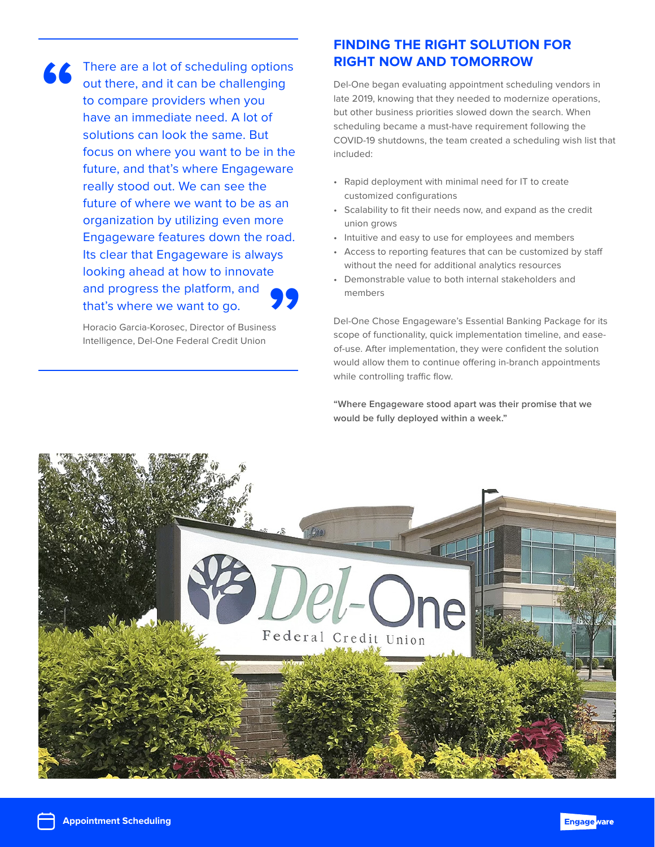There are a lot of scheduling options out there, and it can be challenging to compare providers when you have an immediate need. A lot of solutions can look the same. But focus on where you want to be in the future, and that's where Engageware really stood out. We can see the future of where we want to be as an organization by utilizing even more Engageware features down the road. Its clear that Engageware is always looking ahead at how to innovate and progress the platform, and that's where we want to go. **" 99**<br>Ss

Horacio Garcia-Korosec, Director of Business Intelligence, Del-One Federal Credit Union

## **Finding the Right Solution for Right Now and Tomorrow**

Del-One began evaluating appointment scheduling vendors in late 2019, knowing that they needed to modernize operations, but other business priorities slowed down the search. When scheduling became a must-have requirement following the COVID-19 shutdowns, the team created a scheduling wish list that included:

- Rapid deployment with minimal need for IT to create customized configurations
- Scalability to fit their needs now, and expand as the credit union grows
- Intuitive and easy to use for employees and members
- Access to reporting features that can be customized by staff without the need for additional analytics resources
- Demonstrable value to both internal stakeholders and members

Del-One Chose Engageware's Essential Banking Package for its scope of functionality, quick implementation timeline, and easeof-use. After implementation, they were confident the solution would allow them to continue offering in-branch appointments while controlling traffic flow.

**"Where Engageware stood apart was their promise that we would be fully deployed within a week."**